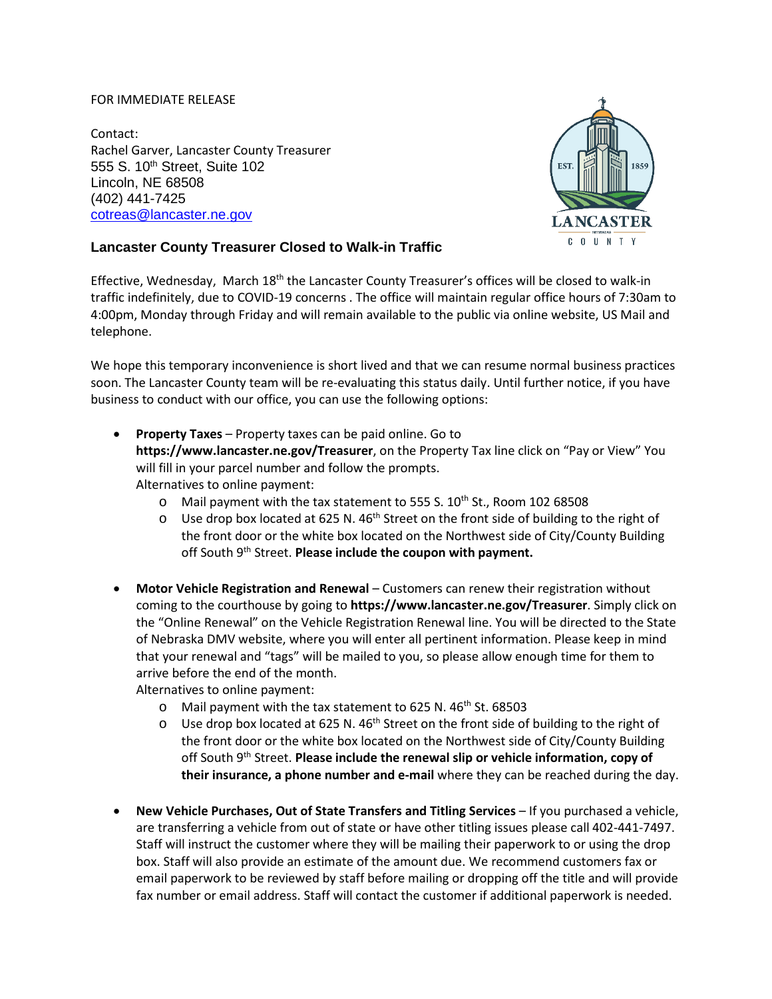## FOR IMMEDIATE RELEASE

Contact: Rachel Garver, Lancaster County Treasurer 555 S. 10<sup>th</sup> Street, Suite 102 Lincoln, NE 68508 (402) 441-7425 [cotreas@lancaster.ne.gov](mailto:cotreas@lancaster.ne.gov)



## **Lancaster County Treasurer Closed to Walk-in Traffic**

Effective, Wednesday, March 18<sup>th</sup> the Lancaster County Treasurer's offices will be closed to walk-in traffic indefinitely, due to COVID-19 concerns . The office will maintain regular office hours of 7:30am to 4:00pm, Monday through Friday and will remain available to the public via online website, US Mail and telephone.

We hope this temporary inconvenience is short lived and that we can resume normal business practices soon. The Lancaster County team will be re-evaluating this status daily. Until further notice, if you have business to conduct with our office, you can use the following options:

- **Property Taxes**  Property taxes can be paid online. Go to **<https://www.lancaster.ne.gov/Treasurer>**, on the Property Tax line click on "Pay or View" You will fill in your parcel number and follow the prompts. Alternatives to online payment:
	- $\circ$  Mail payment with the tax statement to 555 S. 10<sup>th</sup> St., Room 102 68508
	- $\circ$  Use drop box located at 625 N. 46<sup>th</sup> Street on the front side of building to the right of the front door or the white box located on the Northwest side of City/County Building off South 9<sup>th</sup> Street. **Please include the coupon with payment.**
- **Motor Vehicle Registration and Renewal** Customers can renew their registration without coming to the courthouse by going to **<https://www.lancaster.ne.gov/Treasurer>**. Simply click on the "Online Renewal" on the Vehicle Registration Renewal line. You will be directed to the State of Nebraska DMV website, where you will enter all pertinent information. Please keep in mind that your renewal and "tags" will be mailed to you, so please allow enough time for them to arrive before the end of the month.

Alternatives to online payment:

- o Mail payment with the tax statement to 625 N. 46<sup>th</sup> St. 68503
- $\circ$  Use drop box located at 625 N. 46<sup>th</sup> Street on the front side of building to the right of the front door or the white box located on the Northwest side of City/County Building off South 9th Street. **Please include the renewal slip or vehicle information, copy of their insurance, a phone number and e-mail** where they can be reached during the day.
- **New Vehicle Purchases, Out of State Transfers and Titling Services**  If you purchased a vehicle, are transferring a vehicle from out of state or have other titling issues please call 402-441-7497. Staff will instruct the customer where they will be mailing their paperwork to or using the drop box. Staff will also provide an estimate of the amount due. We recommend customers fax or email paperwork to be reviewed by staff before mailing or dropping off the title and will provide fax number or email address. Staff will contact the customer if additional paperwork is needed.